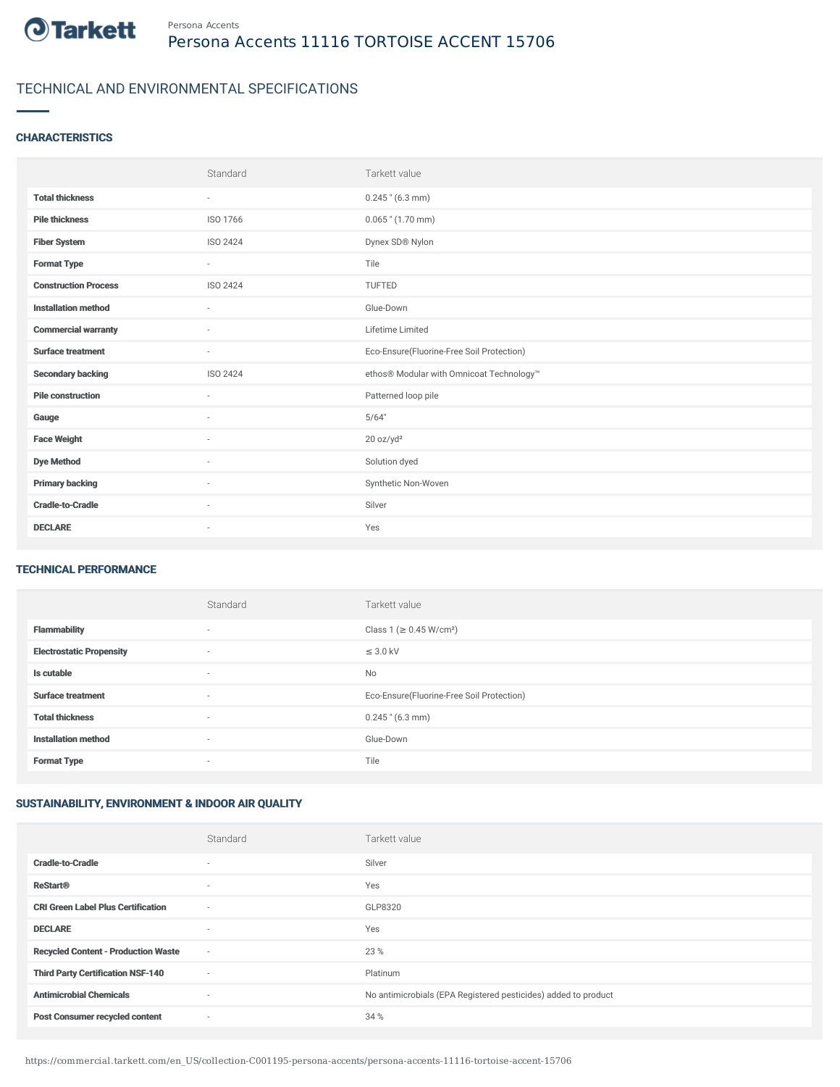

# TECHNICAL AND ENVIRONMENTAL SPECIFICATIONS

### **CHARACTERISTICS**

|                             | Standard        | Tarkett value                             |
|-----------------------------|-----------------|-------------------------------------------|
| <b>Total thickness</b>      | $\sim$          | $0.245$ " (6.3 mm)                        |
| <b>Pile thickness</b>       | ISO 1766        | $0.065$ " $(1.70$ mm)                     |
| <b>Fiber System</b>         | <b>ISO 2424</b> | Dynex SD® Nylon                           |
| <b>Format Type</b>          | $\sim$          | Tile                                      |
| <b>Construction Process</b> | <b>ISO 2424</b> | TUFTED                                    |
| <b>Installation method</b>  | $\sim$          | Glue-Down                                 |
| <b>Commercial warranty</b>  | ٠               | Lifetime Limited                          |
| <b>Surface treatment</b>    | $\sim$          | Eco-Ensure(Fluorine-Free Soil Protection) |
| <b>Secondary backing</b>    | <b>ISO 2424</b> | ethos® Modular with Omnicoat Technology™  |
| <b>Pile construction</b>    | $\sim$          | Patterned loop pile                       |
| Gauge                       | ÷               | 5/64"                                     |
| <b>Face Weight</b>          | $\sim$          | 20 oz/yd <sup>2</sup>                     |
| <b>Dye Method</b>           | ٠               | Solution dyed                             |
| <b>Primary backing</b>      | ٠               | Synthetic Non-Woven                       |
| <b>Cradle-to-Cradle</b>     | $\sim$          | Silver                                    |
| <b>DECLARE</b>              | ٠               | Yes                                       |

#### TECHNICAL PERFORMANCE

|                                 | Standard | Tarkett value                             |
|---------------------------------|----------|-------------------------------------------|
| <b>Flammability</b>             | $\sim$   | Class 1 (≥ 0.45 W/cm <sup>2</sup> )       |
| <b>Electrostatic Propensity</b> | ٠        | $\leq$ 3.0 kV                             |
| Is cutable                      | $\sim$   | No                                        |
| <b>Surface treatment</b>        | $\sim$   | Eco-Ensure(Fluorine-Free Soil Protection) |
| <b>Total thickness</b>          | ٠        | $0.245$ " (6.3 mm)                        |
| <b>Installation method</b>      | $\sim$   | Glue-Down                                 |
| <b>Format Type</b>              | ٠        | Tile                                      |

## SUSTAINABILITY, ENVIRONMENT & INDOOR AIR QUALITY

|                                            | Standard                 | Tarkett value                                                  |
|--------------------------------------------|--------------------------|----------------------------------------------------------------|
| <b>Cradle-to-Cradle</b>                    | $\overline{\phantom{a}}$ | Silver                                                         |
| <b>ReStart®</b>                            | $\overline{\phantom{a}}$ | Yes                                                            |
| <b>CRI Green Label Plus Certification</b>  | $\sim$                   | GLP8320                                                        |
| <b>DECLARE</b>                             | $\overline{\phantom{a}}$ | Yes                                                            |
| <b>Recycled Content - Production Waste</b> | $\sim$                   | 23 %                                                           |
| <b>Third Party Certification NSF-140</b>   | $\sim$                   | Platinum                                                       |
| <b>Antimicrobial Chemicals</b>             | $\overline{\phantom{a}}$ | No antimicrobials (EPA Registered pesticides) added to product |
| <b>Post Consumer recycled content</b>      | ٠                        | 34 %                                                           |